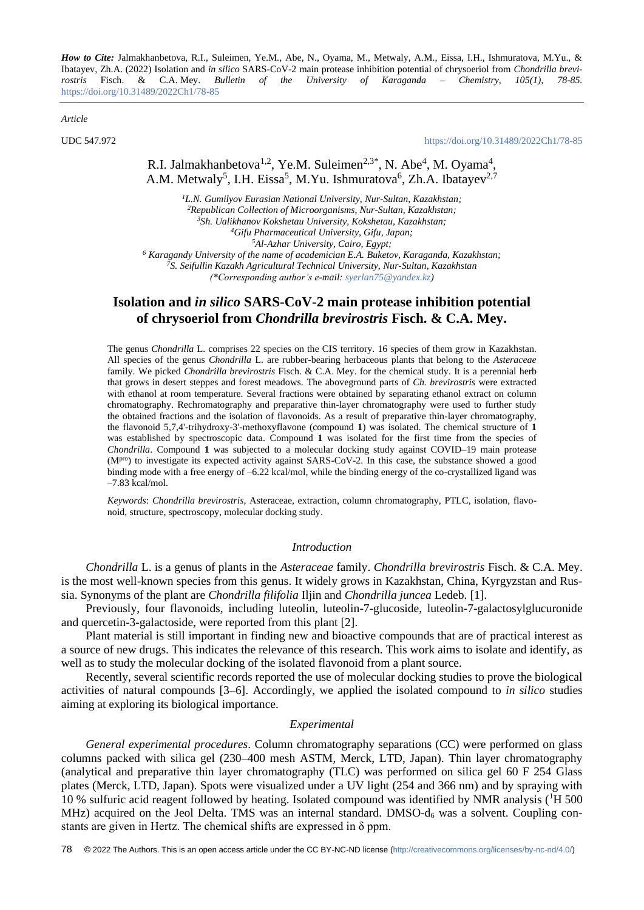*How to Cite:* Jalmakhanbetova, R.I., Suleimen, Ye.M., Abe, N., Oyama, M., Metwaly, A.M., Eissa, I.H., Ishmuratova, M.Yu., & Ibatayev, Zh.A. (2022) Isolation and *in silico* SARS-CoV-2 main protease inhibition potential of chrysoeriol from *Chondrilla brevirostris* Fisch. & C.A. Mey. *Bulletin of the University of Karaganda – Chemistry, 105(1), 78-85.*  <https://doi.org/10.31489/2022Ch1/78-85>

*Article*

UDC 547.972 <https://doi.org/10.31489/2022Ch1/78-85>

R.I. Jalmakhanbetova<sup>1,2</sup>, Ye.M. Suleimen<sup>2,3\*</sup>, N. Abe<sup>4</sup>, M. Oyama<sup>4</sup>, A.M. Metwaly<sup>5</sup>, I.H. Eissa<sup>5</sup>, M.Yu. Ishmuratova<sup>6</sup>, Zh.A. Ibatayev<sup>2,7</sup>

*L.N. Gumilyov Eurasian National University, Nur-Sultan, Kazakhstan; Republican Collection of Microorganisms, Nur-Sultan, Kazakhstan; Sh. Ualikhanov Kokshetau University, Kokshetau, Kazakhstan; Gifu Pharmaceutical University, Gifu, Japan; Al-Azhar University, Cairo, Egypt; Karagandy University of the name of academician E.A. Buketov, Karaganda, Kazakhstan; S. Seifullin Kazakh Agricultural Technical University, Nur-Sultan, Kazakhstan (\*Corresponding author's e-mail: [syerlan75@yandex.kz\)](mailto:syerlan75@yandex.kz)*

# **Isolation and** *in silico* **SARS-CoV-2 main protease inhibition potential of chrysoeriol from** *Chondrilla brevirostris* **Fisch. & C.A. Mey.**

The genus *Chondrilla* L. comprises 22 species on the CIS territory. 16 species of them grow in Kazakhstan. All species of the genus *Chondrilla* L. are rubber-bearing herbaceous plants that belong to the *Asteraceae* family. We picked *Chondrilla brevirostris* Fisch. & C.A. Mey. for the chemical study. It is a perennial herb that grows in desert steppes and forest meadows. The aboveground parts of *Ch. brevirostris* were extracted with ethanol at room temperature. Several fractions were obtained by separating ethanol extract on column chromatography. Rechromatography and preparative thin-layer chromatography were used to further study the obtained fractions and the isolation of flavonoids. As a result of preparative thin-layer chromatography, the flavonoid 5,7,4'-trihydroxy-3'-methoxyflavone (compound **1**) was isolated. The chemical structure of **1** was established by spectroscopic data. Compound **1** was isolated for the first time from the species of *Chondrilla*. Compound **1** was subjected to a molecular docking study against COVID–19 main protease (M<sup>pro</sup>) to investigate its expected activity against SARS-CoV-2. In this case, the substance showed a good binding mode with a free energy of –6.22 kcal/mol, while the binding energy of the co-crystallized ligand was –7.83 kcal/mol.

*Keywords*: *Chondrilla brevirostris*, Asteraceae, extraction, column chromatography, PTLC, isolation, flavonoid, structure, spectroscopy, molecular docking study.

## *Introduction*

*Chondrilla* L. is a genus of plants in the *Asteraceae* family. *Chondrilla brevirostris* Fisch. & C.A. Mey. is the most well-known species from this genus. It widely grows in Kazakhstan, China, Kyrgyzstan and Russia. Synonyms of the plant are *Chondrilla filifolia* [Iljin](https://ru.wikipedia.org/wiki/Iljin) and *Chondrilla juncea* Ledeb. [1].

Previously, four flavonoids, including luteolin, luteolin-7-glucoside, luteolin-7-galactosylglucuronide and quercetin-3-galactoside, were reported from this plant [2].

Plant material is still important in finding new and bioactive compounds that are of practical interest as a source of new drugs. This indicates the relevance of this research. This work aims to isolate and identify, as well as to study the molecular docking of the isolated flavonoid from a plant source.

Recently, several scientific records reported the use of molecular docking studies to prove the biological activities of natural compounds [3–6]. Accordingly, we applied the isolated compound to *in silico* studies aiming at exploring its biological importance.

## *Experimental*

*General experimental procedures*. Column chromatography separations (CC) were performed on glass columns packed with silica gel (230–400 mesh ASTM, Merck, LTD, Japan). Thin layer chromatography (analytical and preparative thin layer chromatography (TLC) was performed on silica gel 60 F 254 Glass plates (Merck, LTD, Japan). Spots were visualized under a UV light (254 and 366 nm) and by spraying with 10 % sulfuric acid reagent followed by heating. Isolated compound was identified by NMR analysis (<sup>1</sup>H 500 MHz) acquired on the Jeol Delta. TMS was an internal standard. DMSO- $d_6$  was a solvent. Coupling constants are given in Hertz. The chemical shifts are expressed in δ ppm.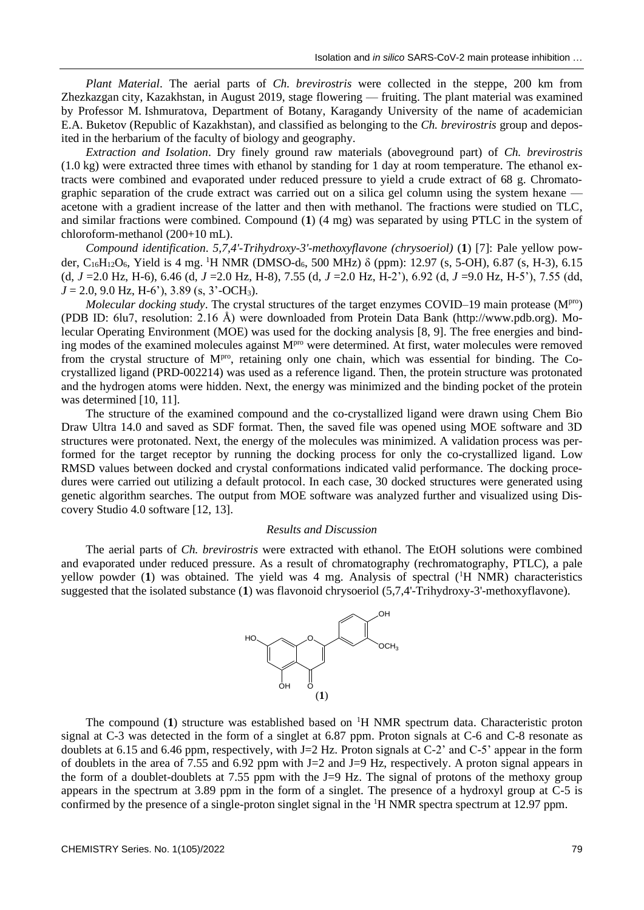*Plant Material*. The aerial parts of *Ch. brevirostris* were collected in the steppe, 200 km from Zhezkazgan city, Kazakhstan, in August 2019, stage flowering — fruiting. The plant material was examined by Professor M. Ishmuratova, Department of Botany, Karagandy University of the name of academician E.A. Buketov (Republic of Kazakhstan), and classified as belonging to the *Ch. brevirostris* group and deposited in the herbarium of the faculty of biology and geography.

*Extraction and Isolation*. Dry finely ground raw materials (aboveground part) of *Ch. brevirostris*   $(1.0 \text{ kg})$  were extracted three times with ethanol by standing for 1 day at room temperature. The ethanol extracts were combined and evaporated under reduced pressure to yield a crude extract of 68 g. Chromatographic separation of the crude extract was carried out on a silica gel column using the system hexane acetone with a gradient increase of the latter and then with methanol. The fractions were studied on TLC, and similar fractions were combined. Compound (**1**) (4 mg) was separated by using PTLC in the system of chloroform-methanol (200+10 mL).

*Compound identification*. *5,7,4'-Trihydroxy-3'-methoxyflavone (chrysoeriol)* (**1**) [7]: Pale yellow powder, C<sub>16</sub>H<sub>12</sub>O<sub>6</sub>, Yield is 4 mg. <sup>1</sup>H NMR (DMSO-d<sub>6</sub>, 500 MHz) δ (ppm): 12.97 (s, 5-OH), 6.87 (s, H-3), 6.15 (d, *J* =2.0 Hz, H-6), 6.46 (d, *J* =2.0 Hz, H-8), 7.55 (d, *J* =2.0 Hz, H-2'), 6.92 (d, *J* =9.0 Hz, H-5'), 7.55 (dd,  $J = 2.0, 9.0$  Hz, H-6'), 3.89 (s, 3'-OCH<sub>3</sub>).

*Molecular docking study*. The crystal structures of the target enzymes COVID–19 main protease (M<sup>pro</sup>) (PDB ID: 6lu7, resolution: 2.16 Å) were downloaded from Protein Data Bank (http://www.pdb.org). Molecular Operating Environment (MOE) was used for the docking analysis [8, 9]. The free energies and binding modes of the examined molecules against M<sup>pro</sup> were determined. At first, water molecules were removed from the crystal structure of M<sup>pro</sup>, retaining only one chain, which was essential for binding. The Cocrystallized ligand (PRD-002214) was used as a reference ligand. Then, the protein structure was protonated and the hydrogen atoms were hidden. Next, the energy was minimized and the binding pocket of the protein was determined [10, 11].

The structure of the examined compound and the co-crystallized ligand were drawn using Chem Bio Draw Ultra 14.0 and saved as SDF format. Then, the saved file was opened using MOE software and 3D structures were protonated. Next, the energy of the molecules was minimized. A validation process was performed for the target receptor by running the docking process for only the co-crystallized ligand. Low RMSD values between docked and crystal conformations indicated valid performance. The docking procedures were carried out utilizing a default protocol. In each case, 30 docked structures were generated using genetic algorithm searches. The output from MOE software was analyzed further and visualized using Discovery Studio 4.0 software [12, 13].

## *Results and Discussion*

The aerial parts of *Ch. brevirostris* were extracted with ethanol. The EtOH solutions were combined and evaporated under reduced pressure. As a result of chromatography (rechromatography, PTLC), a pale yellow powder (1) was obtained. The yield was 4 mg. Analysis of spectral (<sup>1</sup>H NMR) characteristics suggested that the isolated substance (**1**) was flavonoid chrysoeriol (5,7,4'-Trihydroxy-3'-methoxyflavone).



The compound  $(1)$  structure was established based on  $H$  NMR spectrum data. Characteristic proton signal at C-3 was detected in the form of a singlet at 6.87 ppm. Proton signals at C-6 and C-8 resonate as doublets at 6.15 and 6.46 ppm, respectively, with J=2 Hz. Proton signals at C-2' and C-5' appear in the form of doublets in the area of 7.55 and 6.92 ppm with J=2 and J=9 Hz, respectively. A proton signal appears in the form of a doublet-doublets at 7.55 ppm with the J=9 Hz. The signal of protons of the methoxy group appears in the spectrum at 3.89 ppm in the form of a singlet. The presence of a hydroxyl group at C-5 is confirmed by the presence of a single-proton singlet signal in the <sup>1</sup>H NMR spectra spectrum at 12.97 ppm.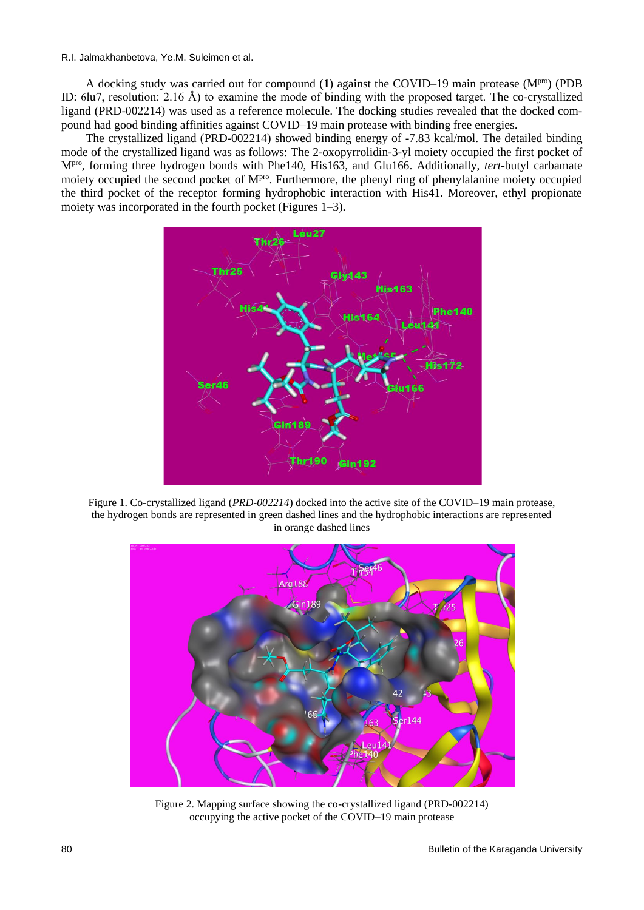A docking study was carried out for compound (**1**) against the COVID–19 main protease (Mpro) (PDB ID: 6lu7, resolution: 2.16 Å) to examine the mode of binding with the proposed target. The co-crystallized ligand (PRD-002214) was used as a reference molecule. The docking studies revealed that the docked compound had good binding affinities against COVID–19 main protease with binding free energies.

The crystallized ligand (PRD-002214) showed binding energy of -7.83 kcal/mol. The detailed binding mode of the crystallized ligand was as follows: The 2-oxopyrrolidin-3-yl moiety occupied the first pocket of Mpro , forming three hydrogen bonds with Phe140, His163, and Glu166. Additionally, *tert-*butyl carbamate moiety occupied the second pocket of  $M<sup>pro</sup>$ . Furthermore, the phenyl ring of phenylalanine moiety occupied the third pocket of the receptor forming hydrophobic interaction with His41. Moreover, ethyl propionate moiety was incorporated in the fourth pocket (Figures 1–3).



Figure 1. Co-crystallized ligand (*[PRD-002214](https://www.rcsb.org/ligand/PRD_002214)*) docked into the active site of the COVID–19 main protease, the hydrogen bonds are represented in green dashed lines and the hydrophobic interactions are represented in orange dashed lines



Figure 2. Mapping surface showing the co-crystallized ligand (PRD-002214) occupying the active pocket of the COVID–19 main protease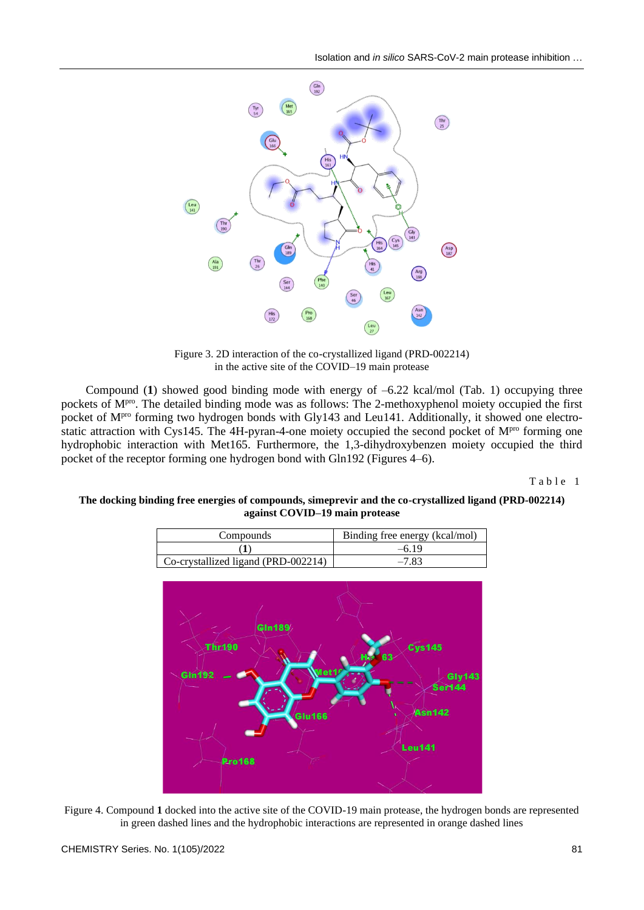

Figure 3. 2D interaction of the co-crystallized ligand (PRD-002214) in the active site of the COVID–19 main protease

Compound (**1**) showed good binding mode with energy of –6.22 kcal/mol (Tab. 1) occupying three pockets of M<sup>pro</sup>. The detailed binding mode was as follows: The 2-methoxyphenol moiety occupied the first pocket of M<sup>pro</sup> forming two hydrogen bonds with Gly143 and Leu141. Additionally, it showed one electrostatic attraction with Cys145. The 4H-pyran-4-one moiety occupied the second pocket of M<sup>pro</sup> forming one hydrophobic interaction with Met165. Furthermore, the 1,3-dihydroxybenzen moiety occupied the third pocket of the receptor forming one hydrogen bond with Gln192 (Figures 4–6).

Table 1

# **The docking binding free energies of compounds, simeprevir and the co-crystallized ligand [\(PRD-002214\)](https://www.rcsb.org/ligand/PRD_002214) against COVID–19 main protease**

| Compounds                           | Binding free energy (kcal/mol) |
|-------------------------------------|--------------------------------|
|                                     | $-619$                         |
| Co-crystallized ligand (PRD-002214) | $-7.83$                        |



Figure 4. Compound **1** docked into the active site of the COVID-19 main protease, the hydrogen bonds are represented in green dashed lines and the hydrophobic interactions are represented in orange dashed lines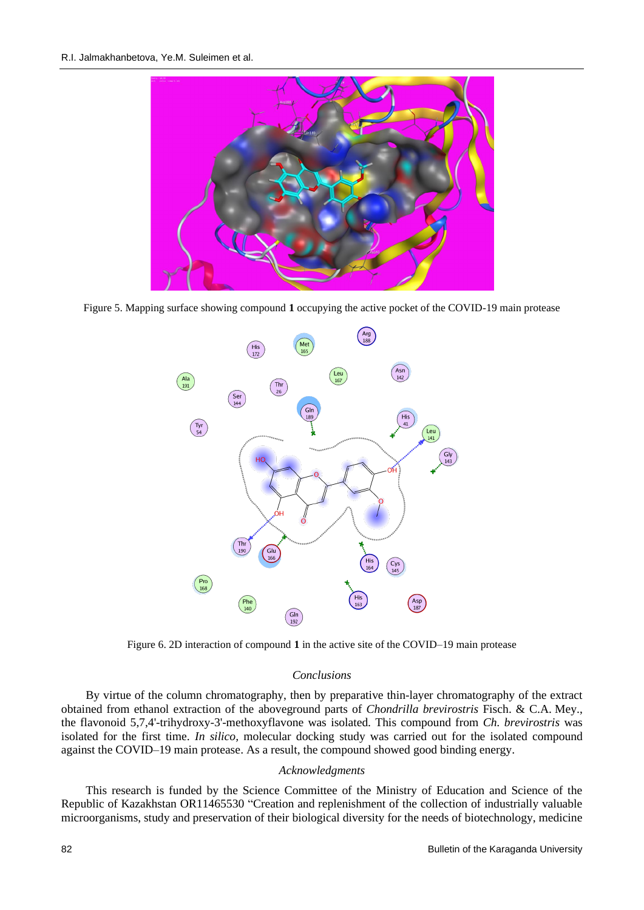

Figure 5. Mapping surface showing compound **1** occupying the active pocket of the COVID-19 main protease



Figure 6. 2D interaction of compound **1** in the active site of the COVID–19 main protease

## *Conclusions*

By virtue of the column chromatography, then by preparative thin-layer chromatography of the extract obtained from ethanol extraction of the aboveground parts of *Chondrilla brevirostris* Fisch. & C.A. Mey., the flavonoid 5,7,4'-trihydroxy-3'-methoxyflavone was isolated. This compound from *Ch. brevirostris* was isolated for the first time. *In silico,* molecular docking study was carried out for the isolated compound against the COVID–19 main protease. As a result, the compound showed good binding energy.

## *Acknowledgments*

This research is funded by the Science Committee of the Ministry of Education and Science of the Republic of Kazakhstan OR11465530 "Creation and replenishment of the collection of industrially valuable microorganisms, study and preservation of their biological diversity for the needs of biotechnology, medicine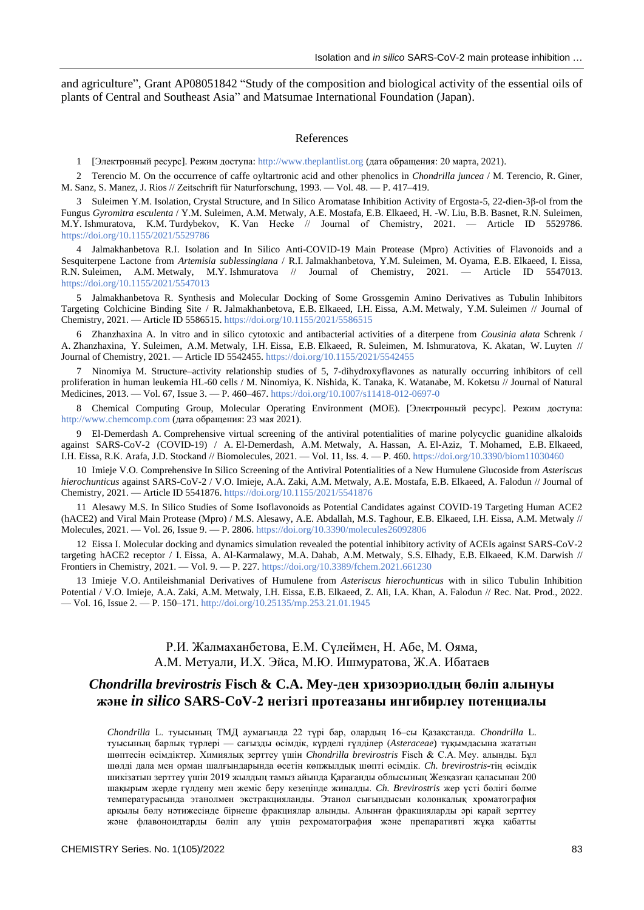and agriculture", Grant AP08051842 "Study of the composition and biological activity of the essential oils of plants of Central and Southeast Asia" and Matsumae International Foundation (Japan).

#### References

1 [Электронный ресурс]. Режим доступа: [http://www.theplantlist.org](http://www.theplantlist.org/) (дата обращения: 20 марта, 2021).

2 Terencio M. On the occurrence of caffe oyltartronic acid and other phenolics in *Chondrilla juncea* / M. Terencio, R. Giner, M. Sanz, S. Manez, J. Rios // Zeitschrift für Naturforschung, 1993. — Vol. 48. — P. 417–419.

3 Suleimen Y.M. Isolation, Crystal Structure, and In Silico Aromatase Inhibition Activity of Ergosta-5, 22-dien-3β-ol from the Fungus *Gyromitra esculenta* / Y.M. Suleimen, A.M. Metwaly, A.E. Mostafa, E.B. Elkaeed, H. -W. Liu, B.B. Basnet, R.N. Suleimen, M.Y. Ishmuratova, K.M. Turdybekov, K. Van Heсke // Journal of Chemistry, 2021. — Article ID 5529786. <https://doi.org/10.1155/2021/5529786>

4 Jalmakhanbetova R.I. Isolation and In Silico Anti-COVID-19 Main Protease (Mpro) Activities of Flavonoids and a Sesquiterpene Lactone from *Artemisia sublessingiana* / R.I. Jalmakhanbetova, Y.M. Suleimen, M. Oyama, E.B. Elkaeed, I. Eissa, R.N. Suleimen, A.M. Metwaly, M.Y. Ishmuratova // Journal of Chemistry, 2021. — Article ID 5547013. [https://doi.org/10.1155/2021/554](https://doi.org/10.1155/2021/55)7013

5 Jalmakhanbetova R. Synthesis and Molecular Docking of Some Grossgemin Amino Derivatives as Tubulin Inhibitors Targeting Colchicine Binding Site / R. Jalmakhanbetova, E.B. Elkaeed, I.H. Eissa, A.M. Metwaly, Y.M. Suleimen // Journal of Chemistry, 2021. — Article ID 5586515[. https://doi.org/10.1155/2021/558](https://doi.org/10.1155/2021/55)6515

6 Zhanzhaxina A. In vitro and in silico cytotoxic and antibacterial activities of a diterpene from *Cousinia alata* Schrenk / A. Zhanzhaxina, Y. Suleimen, A.M. Metwaly, I.H. Eissa, E.B. Elkaeed, R. Suleimen, M. Ishmuratova, K. Akatan, W. Luyten // Journal of Chemistry, 2021. — Article ID 5542455. [https://doi.org/10.1155/2021/554](https://doi.org/10.1155/2021/55)2455

7 Ninomiya M. Structure–activity relationship studies of 5, 7-dihydroxyflavones as naturally occurring inhibitors of cell proliferation in human leukemia HL-60 cells / M. Ninomiya, K. Nishida, K. Tanaka, K. Watanabe, M. Koketsu // Journal of Natural Medicines, 2013. — Vol. 67, Issue 3. — P. 460–467[. https://doi.org/10.1007/s](https://doi.org/10.1007/)11418-012-0697-0

8 Chemical Computing Group, Molecular Operating Environment (MOE). [Электронный ресурс]. Режим доступа: [http://www.chemcomp.com](http://www.chemcomp.com/) (дата обращения: 23 мая 2021).

9 El-Demerdash A. Comprehensive virtual screening of the antiviral potentialities of marine polycyclic guanidine alkaloids against SARS-CoV-2 (COVID-19) / A. El-Demerdash, A.M. Metwaly, A. Hassan, A. El-Aziz, T. Mohamed, E.B. Elkaeed, I.H. Eissa, R.K. Arafa, J.D. Stockand // Biomolecules, 2021. — Vol. 11, Iss. 4. — P. 460. [https://doi.org/10.3390/b](https://doi.org/10.3390/)iom11030460

10 Imieje V.O. Comprehensive In Silico Screening of the Antiviral Potentialities of a New Humulene Glucoside from *Asteriscus hierochunticus* against SARS-CoV-2 / V.O. Imieje, A.A. Zaki, A.M. Metwaly, A.E. Mostafa, E.B. Elkaeed, A. Falodun // Journal of Chemistry, 2021. — Article ID 5541876[. https://doi.org/10.1155/2021/554](https://doi.org/10.1155/2021/55)1876

11 Alesawy M.S. In Silico Studies of Some Isoflavonoids as Potential Candidates against COVID-19 Targeting Human ACE2 (hACE2) and Viral Main Protease (Mpro) / M.S. Alesawy, A.E. Abdallah, M.S. Taghour, E.B. Elkaeed, I.H. Eissa, A.M. Metwaly // Molecules, 2021. — Vol. 26, Issue 9. — P. 2806.<https://doi.org/10.3390/molecules26092806>

12 Eissa I. Molecular docking and dynamics simulation revealed the potential inhibitory activity of ACEIs against SARS-CoV-2 targeting hACE2 receptor / I. Eissa, A. Al-Karmalawy, M.A. Dahab, A.M. Metwaly, S.S. Elhady, E.B. Elkaeed, K.M. Darwish // Frontiers in Chemistry, 2021. — Vol. 9. — P. 227.<https://doi.org/10.3389/fchem.2021.661230>

13 Imieje V.O. Antileishmanial Derivatives of Humulene from *Asteriscus hierochunticus* with in silico Tubulin Inhibition Potential / V.O. Imieje, A.A. Zaki, A.M. Metwaly, I.H. Eissa, E.B. Elkaeed, Z. Ali, I.A. Khan, A. Falodun // Rec. Nat. Prod., 2022. — Vol. 16, Issue 2. — P. 150–171.<http://doi.org/10.25135/rnp.253.21.01.1945>

# Р.И. Жалмаханбетова, Е.М. Сүлеймен, Н. Абе, М. Ояма, A.M. Meтуали, И.Х. Эйса, M.Ю. Ишмуратова, Ж.A. Ибатаев

# *Chondrilla brevir***os***tris* **Fisch & C.A. Mey-ден хризоэриолдың бөліп алынуы және** *in silico* **SARS-CoV-2 негізгі протеазаны ингибирлеу потенциалы**

*Chondrilla* L. туысының ТМД аумағында 22 түрі бар, олардың 16–сы Қазақстанда. *Chondrilla* L. туысының барлық түрлері — сағызды өсімдік, күрделі гүлділер (*Asteraceae*) тұқымдасына жататын шөптесін өсімдіктер. Химиялық зерттеу үшін *Chondrilla brevirostris* Fisch & С.А. Меу. алынды. Бұл шөлді дала мен орман шалғындарында өсетін көпжылдық шөпті өсімдік. *Ch. brevirostris-*тің өсімдік шикізатын зерттеу үшін 2019 жылдың тамыз айында Қарағанды облысының Жезқазған қаласынан 200 шақырым жерде гүлдену мен жеміс беру кезеңінде жиналды. *Ch. Brevirostris* жер үсті бөлігі бөлме температурасында этанолмен экстракцияланды. Этанол сығындысын колонкалық хроматография арқылы бөлу нәтижесінде бірнеше фракциялар алынды. Алынған фракцияларды әрі қарай зерттеу және флавоноидтарды бөліп алу үшін рехроматография және препаративті жұқа қабатты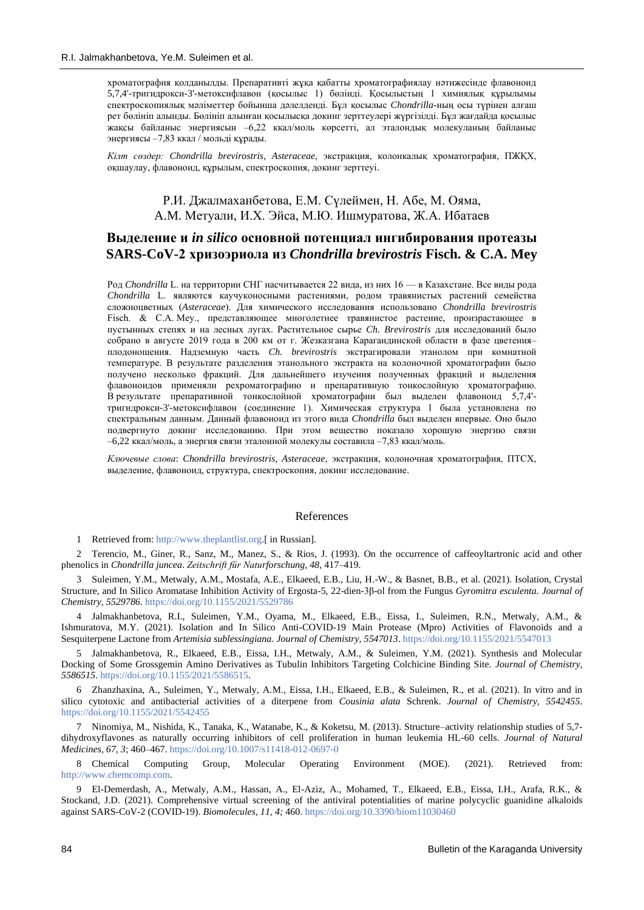хроматография қолданылды. Препаративті жұқа қабатты хроматографиялау нәтижесінде флавоноид 5,7,4'-тригидрокси-3'-метоксифлавон (қосылыс 1) бөлінді. Қосылыстың 1 химиялық құрылымы спектроскопиялық мәліметтер бойынша дәлелденді. Бұл қосылыс *Chondrilla*-ның осы түрінен алғаш рет бөлініп алынды. Бөлініп алынған қосылысқа докинг зерттеулері жүргізілді. Бұл жағдайда қосылыс жақсы байланыс энергиясын –6,22 ккал/моль көрсетті, ал эталондық молекуланың байланыс энергиясы –7,83 ккал / мольді құрады.

*Кілт сөздер: Chondrilla brevirostris*, *Asteraceae*, экстракция, колонкалық хроматография, ПЖҚХ, оқшаулау, флавоноид, құрылым, спектроскопия, докинг зерттеуі.

> Р.И. Джалмаханбетова, Е.М. Сүлеймен, Н. Абе, М. Ояма, A.M. Meтуали, И.Х. Эйса, M.Ю. Ишмуратова, Ж.A. Ибатаев

# **Выделение и** *in silico* **основной потенциал ингибирования протеазы SARS-CoV-2 хризоэриола из** *Chondrilla brevirostris* **Fisch. & C.A. Mey**

Род *Chondrilla* L. на территории СНГ насчитывается 22 вида, из них 16 — в Казахстане. Все виды рода *Chondrilla* L. являются каучуконосными растениями, родом травянистых растений семейства сложноцветных (*Asteraceae*). Для химического исследования использовано *Chondrilla brevirostris* Fisch. & С.А. Меу., представляющее многолетнее травянистое растение, произрастающее в пустынных степях и на лесных лугах. Растительное сырье *Ch. Brevirostris* для исследований было собрано в августе 2019 года в 200 км от г. Жезказгана Карагандинской области в фазе цветения– плодоношения. Надземную часть *Ch. brevirostris* экстрагировали этанолом при комнатной температуре. В результате разделения этанольного экстракта на колоночной хроматографии было получено несколько фракций. Для дальнейшего изучения полученных фракций и выделения флавоноидов применяли рехроматографию и препаративную тонкослойную хроматографию. В результате препаративной тонкослойной хроматографии был выделен флавоноид 5,7,4' тригидрокси-3'-метоксифлавон (соединение 1). Химическая структура 1 была установлена по спектральным данным. Данный флавоноид из этого вида *Chondrilla* был выделен впервые. Оно было подвергнуто докинг исследованию. При этом вещество показало хорошую энергию связи –6,22 ккал/моль, а энергия связи эталонной молекулы составила –7,83 ккал/моль.

*Ключевые слова*: *Chondrilla brevirostris*, *Asteraceae*, экстракция, колоночная хроматография, ПТСХ, выделение, флавоноид, структура, спектроскопия, докинг исследование.

## References

1 Retrieved from[: http://www.theplantlist.org.](http://www.theplantlist.org/)[ in Russian].

2 Terencio, M., Giner, R., Sanz, M., Manez, S., & Rios, J. (1993). On the occurrence of caffeoyltartronic acid and other phenolics in *Chondrilla juncea*. *Zeitschrift für Naturforschung, 48*, 417–419.

3 Suleimen, Y.M., Metwaly, A.M., Mostafa, A.E., Elkaeed, E.B., Liu, H.-W., & Basnet, B.B., et al. (2021). Isolation, Crystal Structure, and In Silico Aromatase Inhibition Activity of Ergosta-5, 22-dien-3β-ol from the Fungus *Gyromitra esculenta*. *Journal of Chemistry, 5529786*.<https://doi.org/10.1155/2021/5529786>

4 Jalmakhanbetova, R.I., Suleimen, Y.M., Oyama, M., Elkaeed, E.B., Eissa, I., Suleimen, R.N., Metwaly, A.M., & Ishmuratova, M.Y. (2021). Isolation and In Silico Anti-COVID-19 Main Protease (Mpro) Activities of Flavonoids and a Sesquiterpene Lactone from *Artemisia sublessingiana*. *Journal of Chemistry, 5547013*[. https://doi.org/10.1155/2021/554](https://doi.org/10.1155/2021/55)7013

5 Jalmakhanbetova, R., Elkaeed, E.B., Eissa, I.H., Metwaly, A.M., & Suleimen, Y.M. (2021). Synthesis and Molecular Docking of Some Grossgemin Amino Derivatives as Tubulin Inhibitors Targeting Colchicine Binding Site. *Journal of Chemistry, 5586515*[. https://doi.org/10.1155/2021/558](https://doi.org/10.1155/2021/55)6515.

6 Zhanzhaxina, A., Suleimen, Y., Metwaly, A.M., Eissa, I.H., Elkaeed, E.B., & Suleimen, R., et al. (2021). In vitro and in silico cytotoxic and antibacterial activities of a diterpene from *Cousinia alata* Schrenk. *Journal of Chemistry, 5542455*. [https://doi.org/10.1155/2021/554](https://doi.org/10.1155/2021/55)2455

7 Ninomiya, M., Nishida, K., Tanaka, K., Watanabe, K., & Koketsu, M. (2013). Structure–activity relationship studies of 5,7 dihydroxyflavones as naturally occurring inhibitors of cell proliferation in human leukemia HL-60 cells. *Journal of Natural Medicines, 67, 3*; 460–467. [https://doi.org/10.1007/s](https://doi.org/10.1007/)11418-012-0697-0

8 Chemical Computing Group, Molecular Operating Environment (MOE). (2021). Retrieved from: [http://www.chemcomp.com.](http://www.chemcomp.com/)

9 El-Demerdash, A., Metwaly, A.M., Hassan, A., El-Aziz, A., Mohamed, T., Elkaeed, E.B., Eissa, I.H., Arafa, R.K., & Stockand, J.D. (2021). Comprehensive virtual screening of the antiviral potentialities of marine polycyclic guanidine alkaloids against SARS-CoV-2 (COVID-19). *Biomolecules, 11, 4;* 460. [https://doi.org/10.3390/b](https://doi.org/10.3390/)iom11030460